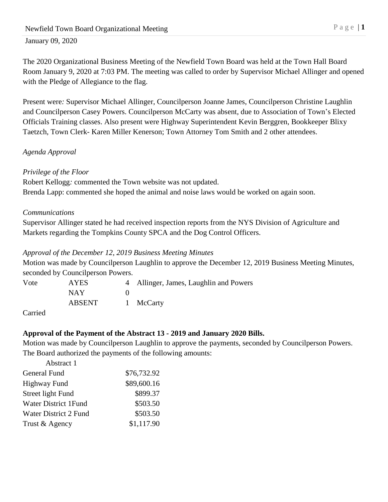The 2020 Organizational Business Meeting of the Newfield Town Board was held at the Town Hall Board Room January 9, 2020 at 7:03 PM. The meeting was called to order by Supervisor Michael Allinger and opened with the Pledge of Allegiance to the flag.

Present were*:* Supervisor Michael Allinger, Councilperson Joanne James, Councilperson Christine Laughlin and Councilperson Casey Powers. Councilperson McCarty was absent, due to Association of Town's Elected Officials Training classes. Also present were Highway Superintendent Kevin Berggren, Bookkeeper Blixy Taetzch, Town Clerk- Karen Miller Kenerson; Town Attorney Tom Smith and 2 other attendees.

# *Agenda Approval*

# *Privilege of the Floor*

Robert Kellogg*:* commented the Town website was not updated. Brenda Lapp: commented she hoped the animal and noise laws would be worked on again soon.

# *Communications*

Supervisor Allinger stated he had received inspection reports from the NYS Division of Agriculture and Markets regarding the Tompkins County SPCA and the Dog Control Officers.

### *Approval of the December 12, 2019 Business Meeting Minutes*

Motion was made by Councilperson Laughlin to approve the December 12, 2019 Business Meeting Minutes, seconded by Councilperson Powers.

| Vote | <b>AYES</b> | 4 Allinger, James, Laughlin and Powers |
|------|-------------|----------------------------------------|
|      | <b>NAY</b>  |                                        |
|      | ABSENT      | 1 McCarty                              |
|      |             |                                        |

Carried

# **Approval of the Payment of the Abstract 13 - 2019 and January 2020 Bills.**

Motion was made by Councilperson Laughlin to approve the payments, seconded by Councilperson Powers. The Board authorized the payments of the following amounts:

| Abstract 1               |             |
|--------------------------|-------------|
| General Fund             | \$76,732.92 |
| Highway Fund             | \$89,600.16 |
| <b>Street light Fund</b> | \$899.37    |
| Water District 1Fund     | \$503.50    |
| Water District 2 Fund    | \$503.50    |
| Trust & Agency           | \$1,117.90  |
|                          |             |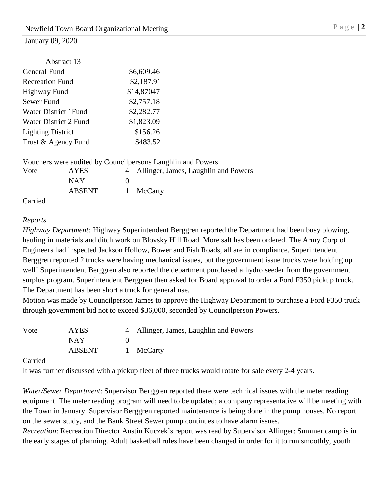| Abstract 13              |            |
|--------------------------|------------|
| General Fund             | \$6,609.46 |
| <b>Recreation Fund</b>   | \$2,187.91 |
| <b>Highway Fund</b>      | \$14,87047 |
| Sewer Fund               | \$2,757.18 |
| Water District 1 Fund    | \$2,282.77 |
| Water District 2 Fund    | \$1,823.09 |
| <b>Lighting District</b> | \$156.26   |
| Trust & Agency Fund      | \$483.52   |
|                          |            |

Vouchers were audited by Councilpersons Laughlin and Powers

| Vote               | <b>AYES</b> | 4 Allinger, James, Laughlin and Powers |
|--------------------|-------------|----------------------------------------|
|                    | <b>NAY</b>  |                                        |
|                    | ABSENT      | 1 McCarty                              |
| C <sub>omiol</sub> |             |                                        |

Carried

### *Reports*

*Highway Department:* Highway Superintendent Berggren reported the Department had been busy plowing, hauling in materials and ditch work on Blovsky Hill Road. More salt has been ordered. The Army Corp of Engineers had inspected Jackson Hollow, Bower and Fish Roads, all are in compliance. Superintendent Berggren reported 2 trucks were having mechanical issues, but the government issue trucks were holding up well! Superintendent Berggren also reported the department purchased a hydro seeder from the government surplus program. Superintendent Berggren then asked for Board approval to order a Ford F350 pickup truck. The Department has been short a truck for general use.

Motion was made by Councilperson James to approve the Highway Department to purchase a Ford F350 truck through government bid not to exceed \$36,000, seconded by Councilperson Powers.

| Vote | <b>AYES</b> | 4 Allinger, James, Laughlin and Powers |
|------|-------------|----------------------------------------|
|      | <b>NAY</b>  |                                        |
|      | ABSENT      | 1 McCarty                              |

Carried

It was further discussed with a pickup fleet of three trucks would rotate for sale every 2-4 years.

*Water/Sewer Department*: Supervisor Berggren reported there were technical issues with the meter reading equipment. The meter reading program will need to be updated; a company representative will be meeting with the Town in January. Supervisor Berggren reported maintenance is being done in the pump houses. No report on the sewer study, and the Bank Street Sewer pump continues to have alarm issues.

*Recreation*: Recreation Director Austin Kuczek's report was read by Supervisor Allinger: Summer camp is in the early stages of planning. Adult basketball rules have been changed in order for it to run smoothly, youth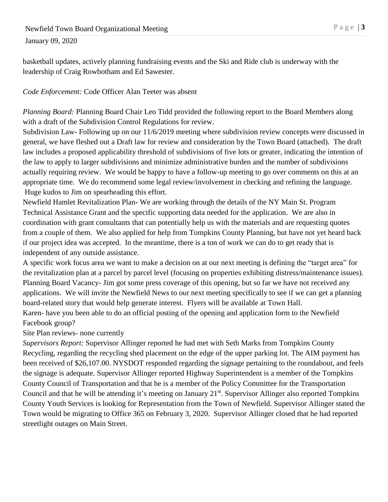basketball updates, actively planning fundraising events and the Ski and Ride club is underway with the leadership of Craig Rowbotham and Ed Sawester.

### *Code Enforcement:* Code Officer Alan Teeter was absent

*Planning Board:* Planning Board Chair Leo Tidd provided the following report to the Board Members along with a draft of the Subdivision Control Regulations for review.

Subdivision Law**-** Following up on our 11/6/2019 meeting where subdivision review concepts were discussed in general, we have fleshed out a Draft law for review and consideration by the Town Board (attached). The draft law includes a proposed applicability threshold of subdivisions of five lots or greater, indicating the intention of the law to apply to larger subdivisions and minimize administrative burden and the number of subdivisions actually requiring review. We would be happy to have a follow-up meeting to go over comments on this at an appropriate time. We do recommend some legal review/involvement in checking and refining the language. Huge kudos to Jim on spearheading this effort.

Newfield Hamlet Revitalization Plan**-** We are working through the details of the NY Main St. Program Technical Assistance Grant and the specific supporting data needed for the application. We are also in coordination with grant consultants that can potentially help us with the materials and are requesting quotes from a couple of them. We also applied for help from Tompkins County Planning, but have not yet heard back if our project idea was accepted. In the meantime, there is a ton of work we can do to get ready that is independent of any outside assistance.

A specific work focus area we want to make a decision on at our next meeting is defining the "target area" for the revitalization plan at a parcel by parcel level (focusing on properties exhibiting distress/maintenance issues). Planning Board Vacancy- Jim got some press coverage of this opening, but so far we have not received any applications. We will invite the Newfield News to our next meeting specifically to see if we can get a planning board-related story that would help generate interest. Flyers will be available at Town Hall.

Karen- have you been able to do an official posting of the opening and application form to the Newfield Facebook group?

# Site Plan reviews- none currently

*Supervisors Report:* Supervisor Allinger reported he had met with Seth Marks from Tompkins County Recycling, regarding the recycling shed placement on the edge of the upper parking lot. The AIM payment has been received of \$26,107.00. NYSDOT responded regarding the signage pertaining to the roundabout, and feels the signage is adequate. Supervisor Allinger reported Highway Superintendent is a member of the Tompkins County Council of Transportation and that he is a member of the Policy Committee for the Transportation Council and that he will be attending it's meeting on January 21<sup>st</sup>. Supervisor Allinger also reported Tompkins County Youth Services is looking for Representation from the Town of Newfield. Supervisor Allinger stated the Town would be migrating to Office 365 on February 3, 2020. Supervisor Allinger closed that he had reported streetlight outages on Main Street.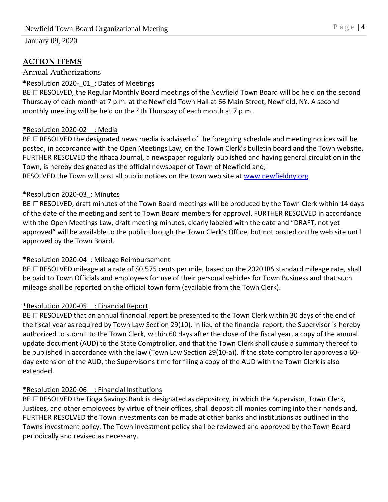# **ACTION ITEMS**

### Annual Authorizations

# \*Resolution 2020-\_01\_: Dates of Meetings

BE IT RESOLVED, the Regular Monthly Board meetings of the Newfield Town Board will be held on the second Thursday of each month at 7 p.m. at the Newfield Town Hall at 66 Main Street, Newfield, NY. A second monthly meeting will be held on the 4th Thursday of each month at 7 p.m.

# \*Resolution 2020-02\_\_: Media

BE IT RESOLVED the designated news media is advised of the foregoing schedule and meeting notices will be posted, in accordance with the Open Meetings Law, on the Town Clerk's bulletin board and the Town website. FURTHER RESOLVED the Ithaca Journal, a newspaper regularly published and having general circulation in the Town, is hereby designated as the official newspaper of Town of Newfield and;

RESOLVED the Town will post all public notices on the town web site at [www.newfieldny.org](http://www.newfieldny.org/)

# \*Resolution 2020-03\_: Minutes

BE IT RESOLVED, draft minutes of the Town Board meetings will be produced by the Town Clerk within 14 days of the date of the meeting and sent to Town Board members for approval. FURTHER RESOLVED in accordance with the Open Meetings Law, draft meeting minutes, clearly labeled with the date and "DRAFT, not yet approved" will be available to the public through the Town Clerk's Office, but not posted on the web site until approved by the Town Board.

# \*Resolution 2020-04\_: Mileage Reimbursement

BE IT RESOLVED mileage at a rate of \$0.575 cents per mile, based on the 2020 IRS standard mileage rate, shall be paid to Town Officials and employees for use of their personal vehicles for Town Business and that such mileage shall be reported on the official town form (available from the Town Clerk).

# \*Resolution 2020-05\_\_: Financial Report

BE IT RESOLVED that an annual financial report be presented to the Town Clerk within 30 days of the end of the fiscal year as required by Town Law Section 29(10). In lieu of the financial report, the Supervisor is hereby authorized to submit to the Town Clerk, within 60 days after the close of the fiscal year, a copy of the annual update document (AUD) to the State Comptroller, and that the Town Clerk shall cause a summary thereof to be published in accordance with the law (Town Law Section 29(10-a)). If the state comptroller approves a 60 day extension of the AUD, the Supervisor's time for filing a copy of the AUD with the Town Clerk is also extended.

# \*Resolution 2020-06\_\_: Financial Institutions

BE IT RESOLVED the Tioga Savings Bank is designated as depository, in which the Supervisor, Town Clerk, Justices, and other employees by virtue of their offices, shall deposit all monies coming into their hands and, FURTHER RESOLVED the Town investments can be made at other banks and institutions as outlined in the Towns investment policy. The Town investment policy shall be reviewed and approved by the Town Board periodically and revised as necessary.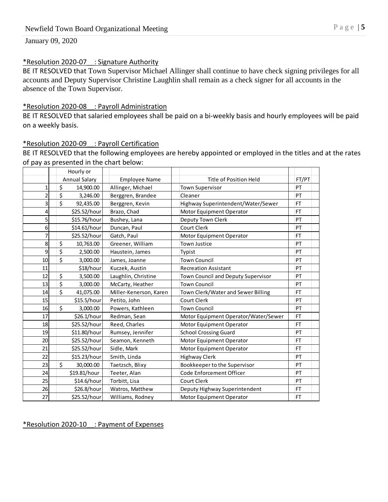#### \*Resolution 2020-07\_\_: Signature Authority

BE IT RESOLVED that Town Supervisor Michael Allinger shall continue to have check signing privileges for all accounts and Deputy Supervisor Christine Laughlin shall remain as a check signer for all accounts in the absence of the Town Supervisor.

#### \*Resolution 2020-08\_\_: Payroll Administration

BE IT RESOLVED that salaried employees shall be paid on a bi-weekly basis and hourly employees will be paid on a weekly basis.

### \*Resolution 2020-09\_\_: Payroll Certification

BE IT RESOLVED that the following employees are hereby appointed or employed in the titles and at the rates of pay as presented in the chart below:

|    | Hourly or            |                        |                                      |           |
|----|----------------------|------------------------|--------------------------------------|-----------|
|    | <b>Annual Salary</b> | <b>Employee Name</b>   | <b>Title of Position Held</b>        | FT/PT     |
| 1  | \$<br>14,900.00      | Allinger, Michael      | <b>Town Supervisor</b>               | PT        |
| 2  | \$<br>3,246.00       | Berggren, Brandee      | Cleaner                              | PT        |
| 3  | \$<br>92,435.00      | Berggren, Kevin        | Highway Superintendent/Water/Sewer   | <b>FT</b> |
| 4  | \$25.52/hour         | Brazo, Chad            | Motor Equipment Operator             | FT.       |
| 5  | \$15.76/hour         | Bushey, Lana           | Deputy Town Clerk                    | PT        |
| 6  | \$14.61/hour         | Duncan, Paul           | Court Clerk                          | PT        |
| 7  | \$25.52/hour         | Gatch, Paul            | Motor Equipment Operator             | <b>FT</b> |
| 8  | \$<br>10,763.00      | Greener, William       | <b>Town Justice</b>                  | PT        |
| 9  | \$<br>2,500.00       | Haustein, James        | Typist                               | PT        |
| 10 | \$<br>3,000.00       | James, Joanne          | <b>Town Council</b>                  | PT        |
| 11 | \$18/hour            | Kuczek, Austin         | <b>Recreation Assistant</b>          | PT        |
| 12 | \$<br>3,500.00       | Laughlin, Christine    | Town Council and Deputy Supervisor   | PT        |
| 13 | \$<br>3,000.00       | McCarty, Heather       | <b>Town Council</b>                  | PT        |
| 14 | \$<br>41,075.00      | Miller-Kenerson, Karen | Town Clerk/Water and Sewer Billing   | FT        |
| 15 | \$15.5/hour          | Petito, John           | Court Clerk                          | PT        |
| 16 | \$<br>3,000.00       | Powers, Kathleen       | <b>Town Council</b>                  | PT        |
| 17 | \$26.1/hour          | Redman, Sean           | Motor Equipment Operator/Water/Sewer | <b>FT</b> |
| 18 | \$25.52/hour         | Reed, Charles          | Motor Equipment Operator             | FT.       |
| 19 | \$11.80/hour         | Rumsey, Jennifer       | <b>School Crossing Guard</b>         | PT        |
| 20 | \$25.52/hour         | Seamon, Kenneth        | Motor Equipment Operator             | <b>FT</b> |
| 21 | \$25.52/hour         | Sidle, Mark            | Motor Equipment Operator             | FT.       |
| 22 | \$15.23/hour         | Smith, Linda           | <b>Highway Clerk</b>                 | PT        |
| 23 | \$<br>30,000.00      | Taetzsch, Blixy        | Bookkeeper to the Supervisor         | PT        |
| 24 | \$19.81/hour         | Teeter, Alan           | Code Enforcement Officer             | PT        |
| 25 | \$14.6/hour          | Torbitt, Lisa          | Court Clerk                          | PT        |
| 26 | \$26.8/hour          | Watros, Matthew        | Deputy Highway Superintendent        | <b>FT</b> |
| 27 | \$25.52/hour         | Williams, Rodney       | Motor Equipment Operator             | <b>FT</b> |

#### \*Resolution 2020-10\_\_: Payment of Expenses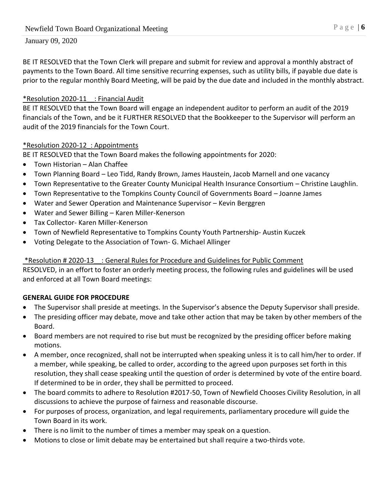BE IT RESOLVED that the Town Clerk will prepare and submit for review and approval a monthly abstract of payments to the Town Board. All time sensitive recurring expenses, such as utility bills, if payable due date is prior to the regular monthly Board Meeting, will be paid by the due date and included in the monthly abstract.

# \*Resolution 2020-11\_\_: Financial Audit

BE IT RESOLVED that the Town Board will engage an independent auditor to perform an audit of the 2019 financials of the Town, and be it FURTHER RESOLVED that the Bookkeeper to the Supervisor will perform an audit of the 2019 financials for the Town Court.

# \*Resolution 2020-12\_: Appointments

BE IT RESOLVED that the Town Board makes the following appointments for 2020:

- Town Historian Alan Chaffee
- Town Planning Board Leo Tidd, Randy Brown, James Haustein, Jacob Marnell and one vacancy
- Town Representative to the Greater County Municipal Health Insurance Consortium Christine Laughlin.
- Town Representative to the Tompkins County Council of Governments Board Joanne James
- Water and Sewer Operation and Maintenance Supervisor Kevin Berggren
- Water and Sewer Billing Karen Miller-Kenerson
- Tax Collector- Karen Miller-Kenerson
- Town of Newfield Representative to Tompkins County Youth Partnership- Austin Kuczek
- Voting Delegate to the Association of Town- G. Michael Allinger

# \*Resolution # 2020-13\_\_: General Rules for Procedure and Guidelines for Public Comment

RESOLVED, in an effort to foster an orderly meeting process, the following rules and guidelines will be used and enforced at all Town Board meetings:

# **GENERAL GUIDE FOR PROCEDURE**

- The Supervisor shall preside at meetings. In the Supervisor's absence the Deputy Supervisor shall preside.
- The presiding officer may debate, move and take other action that may be taken by other members of the Board.
- Board members are not required to rise but must be recognized by the presiding officer before making motions.
- A member, once recognized, shall not be interrupted when speaking unless it is to call him/her to order. If a member, while speaking, be called to order, according to the agreed upon purposes set forth in this resolution, they shall cease speaking until the question of order is determined by vote of the entire board. If determined to be in order, they shall be permitted to proceed.
- The board commits to adhere to Resolution #2017-50, Town of Newfield Chooses Civility Resolution, in all discussions to achieve the purpose of fairness and reasonable discourse.
- For purposes of process, organization, and legal requirements, parliamentary procedure will guide the Town Board in its work.
- There is no limit to the number of times a member may speak on a question.
- Motions to close or limit debate may be entertained but shall require a two-thirds vote.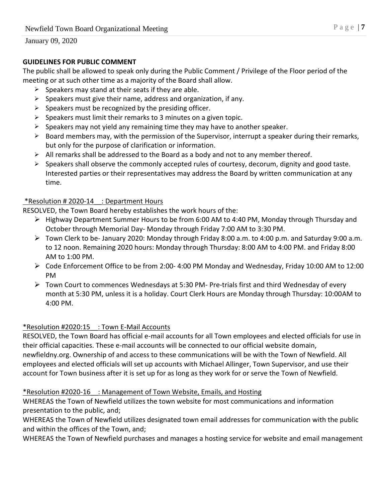# **GUIDELINES FOR PUBLIC COMMENT**

The public shall be allowed to speak only during the Public Comment / Privilege of the Floor period of the meeting or at such other time as a majority of the Board shall allow.

- $\triangleright$  Speakers may stand at their seats if they are able.
- $\triangleright$  Speakers must give their name, address and organization, if any.
- $\triangleright$  Speakers must be recognized by the presiding officer.
- $\triangleright$  Speakers must limit their remarks to 3 minutes on a given topic.
- $\triangleright$  Speakers may not yield any remaining time they may have to another speaker.
- $\triangleright$  Board members may, with the permission of the Supervisor, interrupt a speaker during their remarks, but only for the purpose of clarification or information.
- $\triangleright$  All remarks shall be addressed to the Board as a body and not to any member thereof.
- $\triangleright$  Speakers shall observe the commonly accepted rules of courtesy, decorum, dignity and good taste. Interested parties or their representatives may address the Board by written communication at any time.

# \*Resolution # 2020-14\_\_: Department Hours

RESOLVED, the Town Board hereby establishes the work hours of the:

- Highway Department Summer Hours to be from 6:00 AM to 4:40 PM, Monday through Thursday and October through Memorial Day- Monday through Friday 7:00 AM to 3:30 PM.
- Town Clerk to be- January 2020: Monday through Friday 8:00 a.m. to 4:00 p.m. and Saturday 9:00 a.m. to 12 noon. Remaining 2020 hours: Monday through Thursday: 8:00 AM to 4:00 PM. and Friday 8:00 AM to 1:00 PM.
- $\triangleright$  Code Enforcement Office to be from 2:00- 4:00 PM Monday and Wednesday, Friday 10:00 AM to 12:00 PM
- $\triangleright$  Town Court to commences Wednesdays at 5:30 PM- Pre-trials first and third Wednesday of every month at 5:30 PM, unless it is a holiday. Court Clerk Hours are Monday through Thursday: 10:00AM to 4:00 PM.

### \*Resolution #2020:15\_\_: Town E-Mail Accounts

RESOLVED, the Town Board has official e-mail accounts for all Town employees and elected officials for use in their official capacities. These e-mail accounts will be connected to our official website domain, newfieldny.org. Ownership of and access to these communications will be with the Town of Newfield. All employees and elected officials will set up accounts with Michael Allinger, Town Supervisor, and use their account for Town business after it is set up for as long as they work for or serve the Town of Newfield.

### \*Resolution #2020-16\_\_: Management of Town Website, Emails, and Hosting

WHEREAS the Town of Newfield utilizes the town website for most communications and information presentation to the public, and;

WHEREAS the Town of Newfield utilizes designated town email addresses for communication with the public and within the offices of the Town, and;

WHEREAS the Town of Newfield purchases and manages a hosting service for website and email management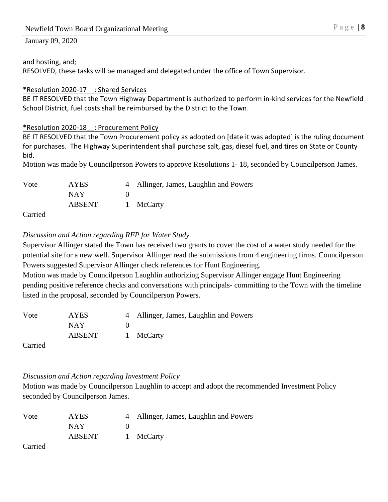### and hosting, and;

RESOLVED, these tasks will be managed and delegated under the office of Town Supervisor.

# \*Resolution 2020-17\_\_: Shared Services

BE IT RESOLVED that the Town Highway Department is authorized to perform in-kind services for the Newfield School District, fuel costs shall be reimbursed by the District to the Town.

# \*Resolution 2020-18\_\_: Procurement Policy

BE IT RESOLVED that the Town Procurement policy as adopted on [date it was adopted] is the ruling document for purchases. The Highway Superintendent shall purchase salt, gas, diesel fuel, and tires on State or County bid.

Motion was made by Councilperson Powers to approve Resolutions 1- 18, seconded by Councilperson James.

| Vote                 | <b>AYES</b> | 4 Allinger, James, Laughlin and Powers |
|----------------------|-------------|----------------------------------------|
|                      | NAY.        |                                        |
|                      | ABSENT      | 1 McCarty                              |
| $\sim$ $\sim$ $\sim$ |             |                                        |

Carried

# *Discussion and Action regarding RFP for Water Study*

Supervisor Allinger stated the Town has received two grants to cover the cost of a water study needed for the potential site for a new well. Supervisor Allinger read the submissions from 4 engineering firms. Councilperson Powers suggested Supervisor Allinger check references for Hunt Engineering.

Motion was made by Councilperson Laughlin authorizing Supervisor Allinger engage Hunt Engineering pending positive reference checks and conversations with principals- committing to the Town with the timeline listed in the proposal, seconded by Councilperson Powers.

| Vote                       | <b>AYES</b> | 4 Allinger, James, Laughlin and Powers |
|----------------------------|-------------|----------------------------------------|
|                            | NAY         |                                        |
|                            | ABSENT      | 1 McCarty                              |
| $C2$ and $\sim$ $\sqrt{2}$ |             |                                        |

Carried

# *Discussion and Action regarding Investment Policy*

Motion was made by Councilperson Laughlin to accept and adopt the recommended Investment Policy seconded by Councilperson James.

| Vote | <b>AYES</b> | 4 Allinger, James, Laughlin and Powers |
|------|-------------|----------------------------------------|
|      | <b>NAY</b>  |                                        |
|      | ABSENT      | 1 McCarty                              |

Carried